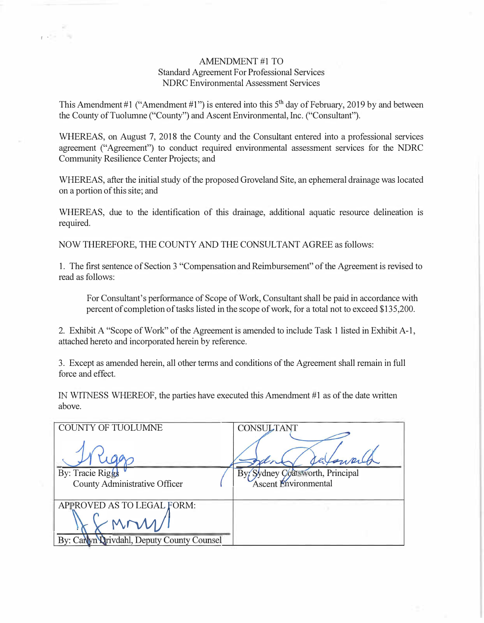## AMENDMENT#1 TO Standard Agreement For Professional Services NDRC Environmental Assessment Services

I •

This Amendment #1 ("Amendment #1") is entered into this  $5<sup>th</sup>$  day of February, 2019 by and between the County of Tuolumne ("County") and Ascent Environmental, Inc. ("Consultant").

WHEREAS, on August 7, 2018 the County and the Consultant entered into a professional services agreement ("Agreement") to conduct required environmental assessment services for the NDRC Community Resilience Center Projects; and

WHEREAS, after the initial study of the proposed Groveland Site, an ephemeral drainage was located on a portion of this site; and

WHEREAS, due to the identification of this drainage, additional aquatic resource delineation is required.

NOW THEREFORE, THE COUNTY AND THE CONSULTANT AGREE as follows:

1. The first sentence of Section 3 "Compensation and Reimbursement" of the Agreement is revised to read as follows:

For Consultant's performance of Scope of Work, Consultant shall be paid in accordance with percent of completion of tasks listed in the scope of work, for a total not to exceed \$135,200.

2. Exhibit A "Scope of Work" of the Agreement is amended to include Task 1 listed in Exhibit A-1, attached hereto and incorporated herein by reference.

3. Except as amended herein, all other terms and conditions of the Agreement shall remain in full force and effect.

IN WITNESS WHEREOF, the parties have executed this Amendment #1 as of the date written above.

| <b>COUNTY OF TUOLUMNE</b>                         | <b>CONSULTANT</b>                                    |
|---------------------------------------------------|------------------------------------------------------|
| By: Tracie Riggs<br>County Administrative Officer | Sydney Coatsworth, Principal<br>Ascent Environmental |
| APPROVED AS TO LEGAL FORM:                        |                                                      |
|                                                   |                                                      |
| By: Carlyn Qrivdahl, Deputy County Counsel        |                                                      |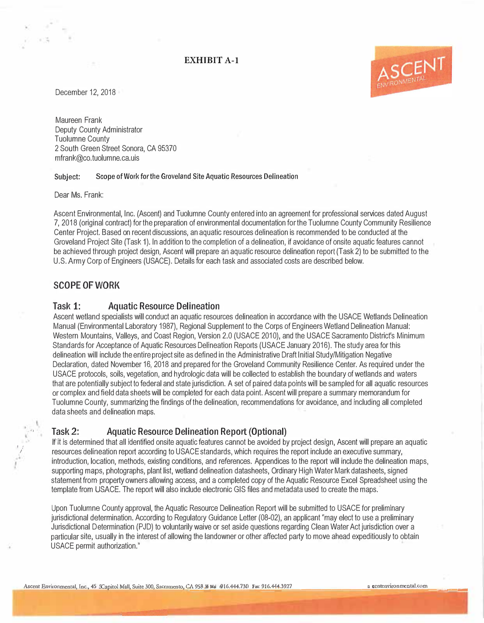# **EXHIBIT A-1**

December 12, 2018

Maureen Frank Deputy County Administrator Tuolumne County 2 South Green Street Sonora, CA 95370 mfrank@co.tuolumne.ca.uis

#### **Subject: Scope of Work for the Groveland Site Aquatic Resources Delineation**

Dear Ms. Frank:

Ascent Environmental, Inc. (Ascent) and Tuolumne County entered into an agreement for professional services dated August 7, 2018 (original contract) for the preparation of environmental documentation for the Tuolumne County Community Resilience Center Project. Based on recent discussions, an aquatic resources delineation is recommended to be conducted at the Groveland Project Site (Task 1). In addition to the completion of a delineation, if avoidance of onsite aquatic features cannot be achieved through project design, Ascent will prepare an aquatic resource delineation report (Task 2) to be submitted to the U.S. Army Corp of Engineers (USACE). Details for each task and associated costs are described below.

### **SCOPE OF WORK**

I; /

### **Task 1: Aquatic Resource Delineation**

Ascent wetland specialists will conduct an aquatic resources delineation in accordance with the USACE Wetlands Delineation Manual (Environmental Laboratory 1987), Regional Supplement to the Corps of Engineers Wetland Delineation Manual: Western Mountains, Valleys, and Coast Region, Version 2.0 (USACE 2010), and the USACE Sacramento District's Minimum Standards for Acceptance of Aquatic Resources Delineation Reports (USACE January 2016). The study area for this delineation will include the entire project site as defined in the Administrative Draft Initial Study/Mitigation Negative Declaration, dated November 16, 2018 and prepared for the Groveland Community Resilience Center. As required under the USACE protocols, soils, vegetation, and hydrologic data will be collected to establish the boundary of wetlands and waters that are potentially subject to federal and state jurisdiction. A set of paired data points will be sampled for all aquatic resources or complex and field data sheets will be completed for each data point. Ascent will prepare a summary memorandum for Tuolumne County, summarizing the findings of the delineation, recommendations for avoidance, and including all completed data sheets and delineation maps.

# **. •' <sup>J</sup> . Task 2: Aquatic Resource Delineation Report (Optional)**

lfit is determined that all identified onsite aquatic features cannot be avoided by project design, Ascent will prepare an aquatic resources delineation report according to USACE standards, which requires the report include an executive summary, introduction, location, methods, existing conditions, and references. Appendices to the report will include the delineation maps, supporting maps, photographs, plant list, wetland delineation datasheets, Ordinary High Water Mark datasheets, signed statement from property owners allowing access, and a completed copy of the Aquatic Resource Excel Spreadsheet using the template from USACE. The report will also include electronic GIS files and metadata used to create the maps.

Upon Tuolumne County approval, the Aquatic Resource Delineation Report will be submitted to USACE for preliminary jurisdictional determination. According to Regulatory Guidance Letter (08-02), an applicant "may elect to use a preliminary Jurisdictional Determination (PJD) to voluntarily waive or set aside questions regarding Clean Water Act jurisdiction over a particular site, usually in the interest of allowing the landowner or other affected party to move ahead expeditiously to obtain USACE permit authorization."

ASCENT